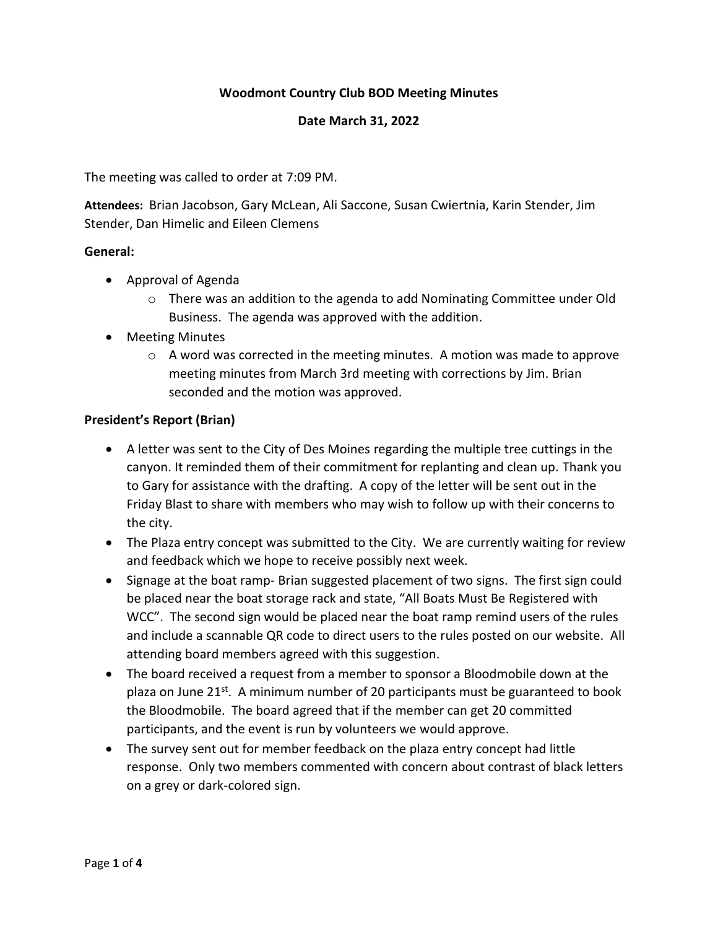# **Woodmont Country Club BOD Meeting Minutes**

#### **Date March 31, 2022**

The meeting was called to order at 7:09 PM.

**Attendees:** Brian Jacobson, Gary McLean, Ali Saccone, Susan Cwiertnia, Karin Stender, Jim Stender, Dan Himelic and Eileen Clemens

#### **General:**

- Approval of Agenda
	- $\circ$  There was an addition to the agenda to add Nominating Committee under Old Business. The agenda was approved with the addition.
- Meeting Minutes
	- $\circ$  A word was corrected in the meeting minutes. A motion was made to approve meeting minutes from March 3rd meeting with corrections by Jim. Brian seconded and the motion was approved.

#### **President's Report (Brian)**

- A letter was sent to the City of Des Moines regarding the multiple tree cuttings in the canyon. It reminded them of their commitment for replanting and clean up. Thank you to Gary for assistance with the drafting. A copy of the letter will be sent out in the Friday Blast to share with members who may wish to follow up with their concerns to the city.
- The Plaza entry concept was submitted to the City. We are currently waiting for review and feedback which we hope to receive possibly next week.
- Signage at the boat ramp- Brian suggested placement of two signs. The first sign could be placed near the boat storage rack and state, "All Boats Must Be Registered with WCC". The second sign would be placed near the boat ramp remind users of the rules and include a scannable QR code to direct users to the rules posted on our website. All attending board members agreed with this suggestion.
- The board received a request from a member to sponsor a Bloodmobile down at the plaza on June 21<sup>st</sup>. A minimum number of 20 participants must be guaranteed to book the Bloodmobile. The board agreed that if the member can get 20 committed participants, and the event is run by volunteers we would approve.
- The survey sent out for member feedback on the plaza entry concept had little response. Only two members commented with concern about contrast of black letters on a grey or dark-colored sign.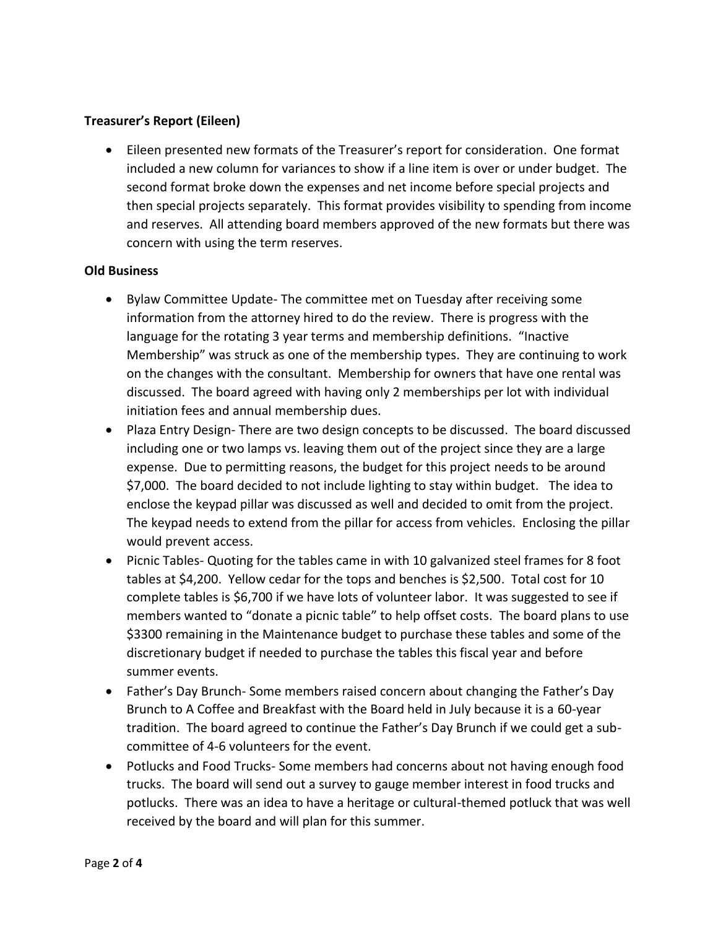# **Treasurer's Report (Eileen)**

• Eileen presented new formats of the Treasurer's report for consideration. One format included a new column for variances to show if a line item is over or under budget. The second format broke down the expenses and net income before special projects and then special projects separately. This format provides visibility to spending from income and reserves. All attending board members approved of the new formats but there was concern with using the term reserves.

### **Old Business**

- Bylaw Committee Update- The committee met on Tuesday after receiving some information from the attorney hired to do the review. There is progress with the language for the rotating 3 year terms and membership definitions. "Inactive Membership" was struck as one of the membership types. They are continuing to work on the changes with the consultant. Membership for owners that have one rental was discussed. The board agreed with having only 2 memberships per lot with individual initiation fees and annual membership dues.
- Plaza Entry Design- There are two design concepts to be discussed. The board discussed including one or two lamps vs. leaving them out of the project since they are a large expense. Due to permitting reasons, the budget for this project needs to be around \$7,000. The board decided to not include lighting to stay within budget. The idea to enclose the keypad pillar was discussed as well and decided to omit from the project. The keypad needs to extend from the pillar for access from vehicles. Enclosing the pillar would prevent access.
- Picnic Tables- Quoting for the tables came in with 10 galvanized steel frames for 8 foot tables at \$4,200. Yellow cedar for the tops and benches is \$2,500. Total cost for 10 complete tables is \$6,700 if we have lots of volunteer labor. It was suggested to see if members wanted to "donate a picnic table" to help offset costs. The board plans to use \$3300 remaining in the Maintenance budget to purchase these tables and some of the discretionary budget if needed to purchase the tables this fiscal year and before summer events.
- Father's Day Brunch- Some members raised concern about changing the Father's Day Brunch to A Coffee and Breakfast with the Board held in July because it is a 60-year tradition. The board agreed to continue the Father's Day Brunch if we could get a subcommittee of 4-6 volunteers for the event.
- Potlucks and Food Trucks- Some members had concerns about not having enough food trucks. The board will send out a survey to gauge member interest in food trucks and potlucks. There was an idea to have a heritage or cultural-themed potluck that was well received by the board and will plan for this summer.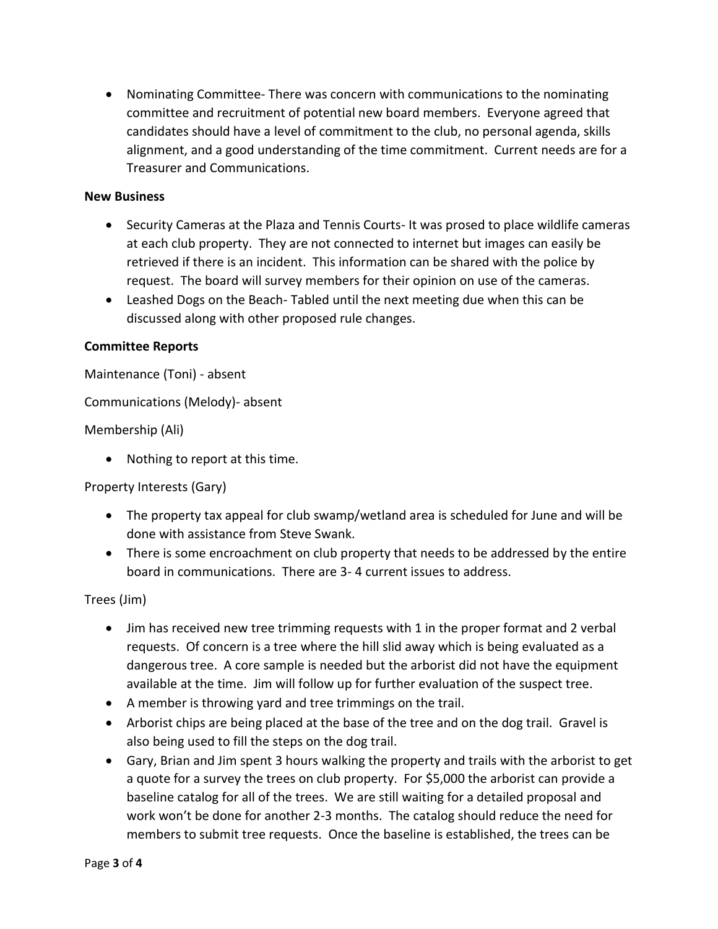• Nominating Committee- There was concern with communications to the nominating committee and recruitment of potential new board members. Everyone agreed that candidates should have a level of commitment to the club, no personal agenda, skills alignment, and a good understanding of the time commitment. Current needs are for a Treasurer and Communications.

### **New Business**

- Security Cameras at the Plaza and Tennis Courts- It was prosed to place wildlife cameras at each club property. They are not connected to internet but images can easily be retrieved if there is an incident. This information can be shared with the police by request. The board will survey members for their opinion on use of the cameras.
- Leashed Dogs on the Beach- Tabled until the next meeting due when this can be discussed along with other proposed rule changes.

# **Committee Reports**

Maintenance (Toni) - absent

Communications (Melody)- absent

### Membership (Ali)

• Nothing to report at this time.

Property Interests (Gary)

- The property tax appeal for club swamp/wetland area is scheduled for June and will be done with assistance from Steve Swank.
- There is some encroachment on club property that needs to be addressed by the entire board in communications. There are 3- 4 current issues to address.

### Trees (Jim)

- Jim has received new tree trimming requests with 1 in the proper format and 2 verbal requests. Of concern is a tree where the hill slid away which is being evaluated as a dangerous tree. A core sample is needed but the arborist did not have the equipment available at the time. Jim will follow up for further evaluation of the suspect tree.
- A member is throwing yard and tree trimmings on the trail.
- Arborist chips are being placed at the base of the tree and on the dog trail. Gravel is also being used to fill the steps on the dog trail.
- Gary, Brian and Jim spent 3 hours walking the property and trails with the arborist to get a quote for a survey the trees on club property. For \$5,000 the arborist can provide a baseline catalog for all of the trees. We are still waiting for a detailed proposal and work won't be done for another 2-3 months. The catalog should reduce the need for members to submit tree requests. Once the baseline is established, the trees can be